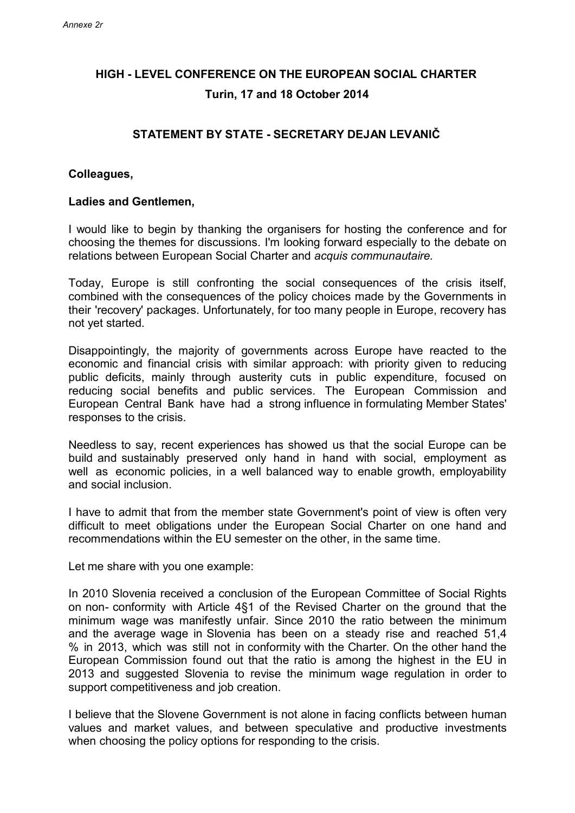## **HIGH - LEVEL CONFERENCE ON THE EUROPEAN SOCIAL CHARTER Turin, 17 and 18 October 2014**

## **STATEMENT BY STATE - SECRETARY DEJAN LEVANIČ**

## **Colleagues,**

## **Ladies and Gentlemen,**

I would like to begin by thanking the organisers for hosting the conference and for choosing the themes for discussions. I'm looking forward especially to the debate on relations between European Social Charter and *acquis communautaire.*

Today, Europe is still confronting the social consequences of the crisis itself, combined with the consequences of the policy choices made by the Governments in their 'recovery' packages. Unfortunately, for too many people in Europe, recovery has not yet started.

Disappointingly, the majority of governments across Europe have reacted to the economic and financial crisis with similar approach: with priority given to reducing public deficits, mainly through austerity cuts in public expenditure, focused on reducing social benefits and public services. The European Commission and European Central Bank have had a strong influence in formulating Member States' responses to the crisis.

Needless to say, recent experiences has showed us that the social Europe can be build and sustainably preserved only hand in hand with social, employment as well as economic policies, in a well balanced way to enable growth, employability and social inclusion.

I have to admit that from the member state Government's point of view is often very difficult to meet obligations under the European Social Charter on one hand and recommendations within the EU semester on the other, in the same time.

Let me share with you one example:

In 2010 Slovenia received a conclusion of the European Committee of Social Rights on non- conformity with Article 4§1 of the Revised Charter on the ground that the minimum wage was manifestly unfair. Since 2010 the ratio between the minimum and the average wage in Slovenia has been on a steady rise and reached 51,4 % in 2013, which was still not in conformity with the Charter. On the other hand the European Commission found out that the ratio is among the highest in the EU in 2013 and suggested Slovenia to revise the minimum wage regulation in order to support competitiveness and job creation.

I believe that the Slovene Government is not alone in facing conflicts between human values and market values, and between speculative and productive investments when choosing the policy options for responding to the crisis.